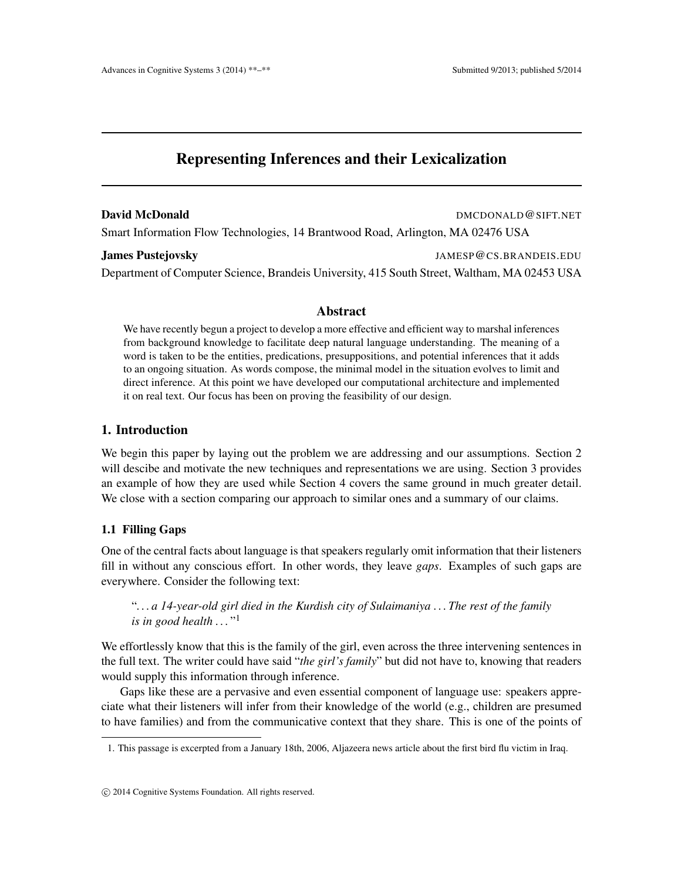# Representing Inferences and their Lexicalization

#### **David McDonald DMCDONALD** DMCDONALD @SIFT.NET

Smart Information Flow Technologies, 14 Brantwood Road, Arlington, MA 02476 USA

James Pustejovsky JAMESP@CS.BRANDEIS.EDU

Department of Computer Science, Brandeis University, 415 South Street, Waltham, MA 02453 USA

## Abstract

We have recently begun a project to develop a more effective and efficient way to marshal inferences from background knowledge to facilitate deep natural language understanding. The meaning of a word is taken to be the entities, predications, presuppositions, and potential inferences that it adds to an ongoing situation. As words compose, the minimal model in the situation evolves to limit and direct inference. At this point we have developed our computational architecture and implemented it on real text. Our focus has been on proving the feasibility of our design.

## 1. Introduction

We begin this paper by laying out the problem we are addressing and our assumptions. Section 2 will descibe and motivate the new techniques and representations we are using. Section 3 provides an example of how they are used while Section 4 covers the same ground in much greater detail. We close with a section comparing our approach to similar ones and a summary of our claims.

## 1.1 Filling Gaps

One of the central facts about language is that speakers regularly omit information that their listeners fill in without any conscious effort. In other words, they leave *gaps*. Examples of such gaps are everywhere. Consider the following text:

"*. . . a 14-year-old girl died in the Kurdish city of Sulaimaniya . . . The rest of the family is in good health . . .* " 1

We effortlessly know that this is the family of the girl, even across the three intervening sentences in the full text. The writer could have said "*the girl's family*" but did not have to, knowing that readers would supply this information through inference.

Gaps like these are a pervasive and even essential component of language use: speakers appreciate what their listeners will infer from their knowledge of the world (e.g., children are presumed to have families) and from the communicative context that they share. This is one of the points of

<sup>1.</sup> This passage is excerpted from a January 18th, 2006, Aljazeera news article about the first bird flu victim in Iraq.

c 2014 Cognitive Systems Foundation. All rights reserved.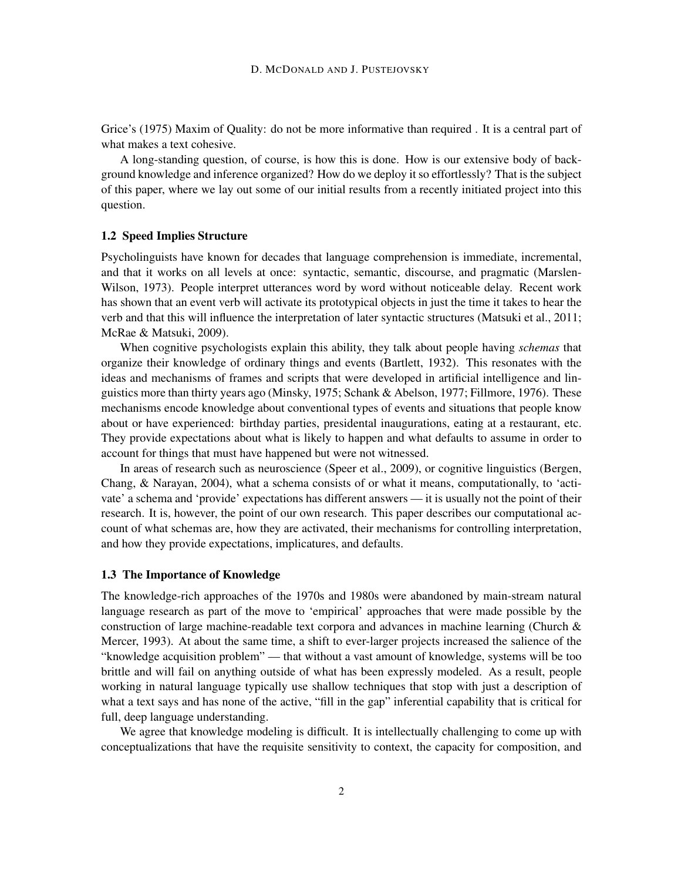Grice's (1975) Maxim of Quality: do not be more informative than required . It is a central part of what makes a text cohesive.

A long-standing question, of course, is how this is done. How is our extensive body of background knowledge and inference organized? How do we deploy it so effortlessly? That is the subject of this paper, where we lay out some of our initial results from a recently initiated project into this question.

#### 1.2 Speed Implies Structure

Psycholinguists have known for decades that language comprehension is immediate, incremental, and that it works on all levels at once: syntactic, semantic, discourse, and pragmatic (Marslen-Wilson, 1973). People interpret utterances word by word without noticeable delay. Recent work has shown that an event verb will activate its prototypical objects in just the time it takes to hear the verb and that this will influence the interpretation of later syntactic structures (Matsuki et al., 2011; McRae & Matsuki, 2009).

When cognitive psychologists explain this ability, they talk about people having *schemas* that organize their knowledge of ordinary things and events (Bartlett, 1932). This resonates with the ideas and mechanisms of frames and scripts that were developed in artificial intelligence and linguistics more than thirty years ago (Minsky, 1975; Schank & Abelson, 1977; Fillmore, 1976). These mechanisms encode knowledge about conventional types of events and situations that people know about or have experienced: birthday parties, presidental inaugurations, eating at a restaurant, etc. They provide expectations about what is likely to happen and what defaults to assume in order to account for things that must have happened but were not witnessed.

In areas of research such as neuroscience (Speer et al., 2009), or cognitive linguistics (Bergen, Chang, & Narayan, 2004), what a schema consists of or what it means, computationally, to 'activate' a schema and 'provide' expectations has different answers — it is usually not the point of their research. It is, however, the point of our own research. This paper describes our computational account of what schemas are, how they are activated, their mechanisms for controlling interpretation, and how they provide expectations, implicatures, and defaults.

#### 1.3 The Importance of Knowledge

The knowledge-rich approaches of the 1970s and 1980s were abandoned by main-stream natural language research as part of the move to 'empirical' approaches that were made possible by the construction of large machine-readable text corpora and advances in machine learning (Church & Mercer, 1993). At about the same time, a shift to ever-larger projects increased the salience of the "knowledge acquisition problem" — that without a vast amount of knowledge, systems will be too brittle and will fail on anything outside of what has been expressly modeled. As a result, people working in natural language typically use shallow techniques that stop with just a description of what a text says and has none of the active, "fill in the gap" inferential capability that is critical for full, deep language understanding.

We agree that knowledge modeling is difficult. It is intellectually challenging to come up with conceptualizations that have the requisite sensitivity to context, the capacity for composition, and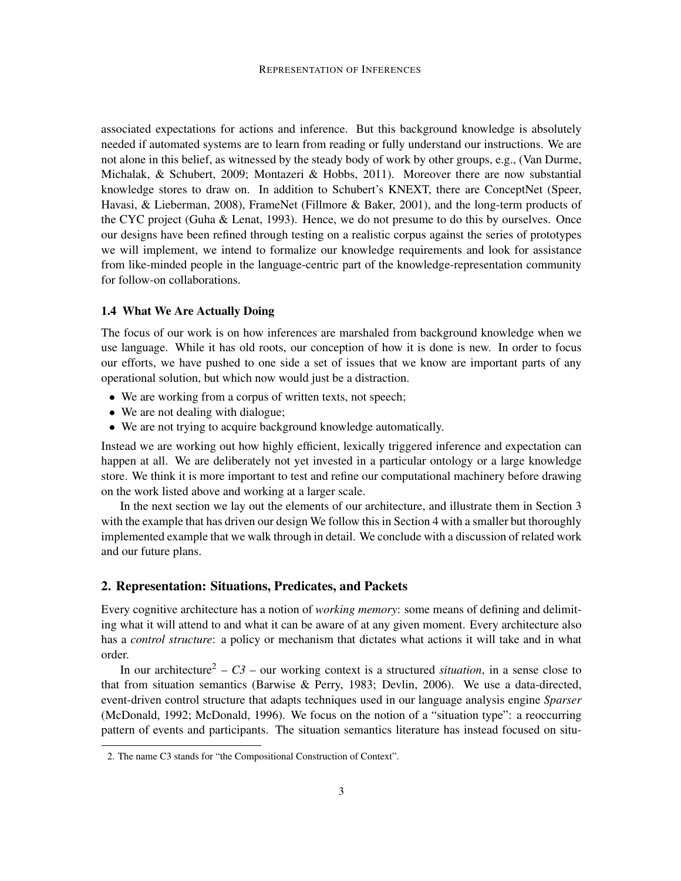associated expectations for actions and inference. But this background knowledge is absolutely needed if automated systems are to learn from reading or fully understand our instructions. We are not alone in this belief, as witnessed by the steady body of work by other groups, e.g., (Van Durme, Michalak, & Schubert, 2009; Montazeri & Hobbs, 2011). Moreover there are now substantial knowledge stores to draw on. In addition to Schubert's KNEXT, there are ConceptNet (Speer, Havasi, & Lieberman, 2008), FrameNet (Fillmore & Baker, 2001), and the long-term products of the CYC project (Guha & Lenat, 1993). Hence, we do not presume to do this by ourselves. Once our designs have been refined through testing on a realistic corpus against the series of prototypes we will implement, we intend to formalize our knowledge requirements and look for assistance from like-minded people in the language-centric part of the knowledge-representation community for follow-on collaborations.

#### 1.4 What We Are Actually Doing

The focus of our work is on how inferences are marshaled from background knowledge when we use language. While it has old roots, our conception of how it is done is new. In order to focus our efforts, we have pushed to one side a set of issues that we know are important parts of any operational solution, but which now would just be a distraction.

- We are working from a corpus of written texts, not speech;
- We are not dealing with dialogue;
- We are not trying to acquire background knowledge automatically.

Instead we are working out how highly efficient, lexically triggered inference and expectation can happen at all. We are deliberately not yet invested in a particular ontology or a large knowledge store. We think it is more important to test and refine our computational machinery before drawing on the work listed above and working at a larger scale.

In the next section we lay out the elements of our architecture, and illustrate them in Section 3 with the example that has driven our design We follow this in Section 4 with a smaller but thoroughly implemented example that we walk through in detail. We conclude with a discussion of related work and our future plans.

#### 2. Representation: Situations, Predicates, and Packets

Every cognitive architecture has a notion of *working memory*: some means of defining and delimiting what it will attend to and what it can be aware of at any given moment. Every architecture also has a *control structure*: a policy or mechanism that dictates what actions it will take and in what order.

In our architecture<sup>2</sup> –  $C3$  – our working context is a structured *situation*, in a sense close to that from situation semantics (Barwise & Perry, 1983; Devlin, 2006). We use a data-directed, event-driven control structure that adapts techniques used in our language analysis engine *Sparser* (McDonald, 1992; McDonald, 1996). We focus on the notion of a "situation type": a reoccurring pattern of events and participants. The situation semantics literature has instead focused on situ-

<sup>2.</sup> The name C3 stands for "the Compositional Construction of Context".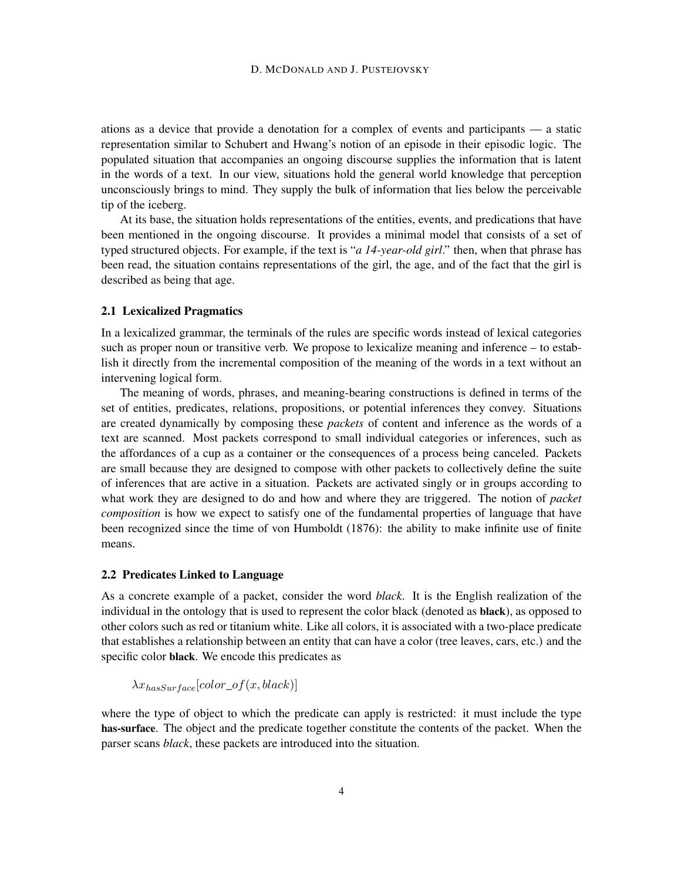ations as a device that provide a denotation for a complex of events and participants — a static representation similar to Schubert and Hwang's notion of an episode in their episodic logic. The populated situation that accompanies an ongoing discourse supplies the information that is latent in the words of a text. In our view, situations hold the general world knowledge that perception unconsciously brings to mind. They supply the bulk of information that lies below the perceivable tip of the iceberg.

At its base, the situation holds representations of the entities, events, and predications that have been mentioned in the ongoing discourse. It provides a minimal model that consists of a set of typed structured objects. For example, if the text is "*a 14-year-old girl*." then, when that phrase has been read, the situation contains representations of the girl, the age, and of the fact that the girl is described as being that age.

#### 2.1 Lexicalized Pragmatics

In a lexicalized grammar, the terminals of the rules are specific words instead of lexical categories such as proper noun or transitive verb. We propose to lexicalize meaning and inference – to establish it directly from the incremental composition of the meaning of the words in a text without an intervening logical form.

The meaning of words, phrases, and meaning-bearing constructions is defined in terms of the set of entities, predicates, relations, propositions, or potential inferences they convey. Situations are created dynamically by composing these *packets* of content and inference as the words of a text are scanned. Most packets correspond to small individual categories or inferences, such as the affordances of a cup as a container or the consequences of a process being canceled. Packets are small because they are designed to compose with other packets to collectively define the suite of inferences that are active in a situation. Packets are activated singly or in groups according to what work they are designed to do and how and where they are triggered. The notion of *packet composition* is how we expect to satisfy one of the fundamental properties of language that have been recognized since the time of von Humboldt (1876): the ability to make infinite use of finite means.

#### 2.2 Predicates Linked to Language

As a concrete example of a packet, consider the word *black*. It is the English realization of the individual in the ontology that is used to represent the color black (denoted as black), as opposed to other colors such as red or titanium white. Like all colors, it is associated with a two-place predicate that establishes a relationship between an entity that can have a color (tree leaves, cars, etc.) and the specific color black. We encode this predicates as

 $\lambda x_{hasSurface}[color\_of(x,black)]$ 

where the type of object to which the predicate can apply is restricted: it must include the type has-surface. The object and the predicate together constitute the contents of the packet. When the parser scans *black*, these packets are introduced into the situation.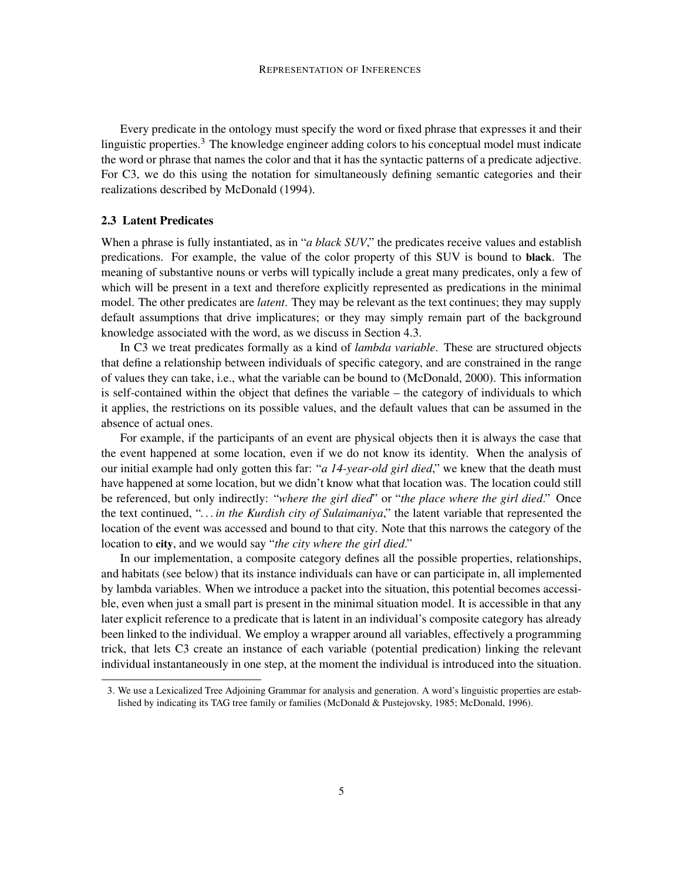Every predicate in the ontology must specify the word or fixed phrase that expresses it and their linguistic properties.<sup>3</sup> The knowledge engineer adding colors to his conceptual model must indicate the word or phrase that names the color and that it has the syntactic patterns of a predicate adjective. For C3, we do this using the notation for simultaneously defining semantic categories and their realizations described by McDonald (1994).

#### 2.3 Latent Predicates

When a phrase is fully instantiated, as in "*a black SUV*," the predicates receive values and establish predications. For example, the value of the color property of this SUV is bound to black. The meaning of substantive nouns or verbs will typically include a great many predicates, only a few of which will be present in a text and therefore explicitly represented as predications in the minimal model. The other predicates are *latent*. They may be relevant as the text continues; they may supply default assumptions that drive implicatures; or they may simply remain part of the background knowledge associated with the word, as we discuss in Section 4.3.

In C3 we treat predicates formally as a kind of *lambda variable*. These are structured objects that define a relationship between individuals of specific category, and are constrained in the range of values they can take, i.e., what the variable can be bound to (McDonald, 2000). This information is self-contained within the object that defines the variable – the category of individuals to which it applies, the restrictions on its possible values, and the default values that can be assumed in the absence of actual ones.

For example, if the participants of an event are physical objects then it is always the case that the event happened at some location, even if we do not know its identity. When the analysis of our initial example had only gotten this far: "*a 14-year-old girl died*," we knew that the death must have happened at some location, but we didn't know what that location was. The location could still be referenced, but only indirectly: "*where the girl died*" or "*the place where the girl died*." Once the text continued, "*. . . in the Kurdish city of Sulaimaniya*," the latent variable that represented the location of the event was accessed and bound to that city. Note that this narrows the category of the location to city, and we would say "*the city where the girl died*."

In our implementation, a composite category defines all the possible properties, relationships, and habitats (see below) that its instance individuals can have or can participate in, all implemented by lambda variables. When we introduce a packet into the situation, this potential becomes accessible, even when just a small part is present in the minimal situation model. It is accessible in that any later explicit reference to a predicate that is latent in an individual's composite category has already been linked to the individual. We employ a wrapper around all variables, effectively a programming trick, that lets C3 create an instance of each variable (potential predication) linking the relevant individual instantaneously in one step, at the moment the individual is introduced into the situation.

<sup>3.</sup> We use a Lexicalized Tree Adjoining Grammar for analysis and generation. A word's linguistic properties are established by indicating its TAG tree family or families (McDonald & Pustejovsky, 1985; McDonald, 1996).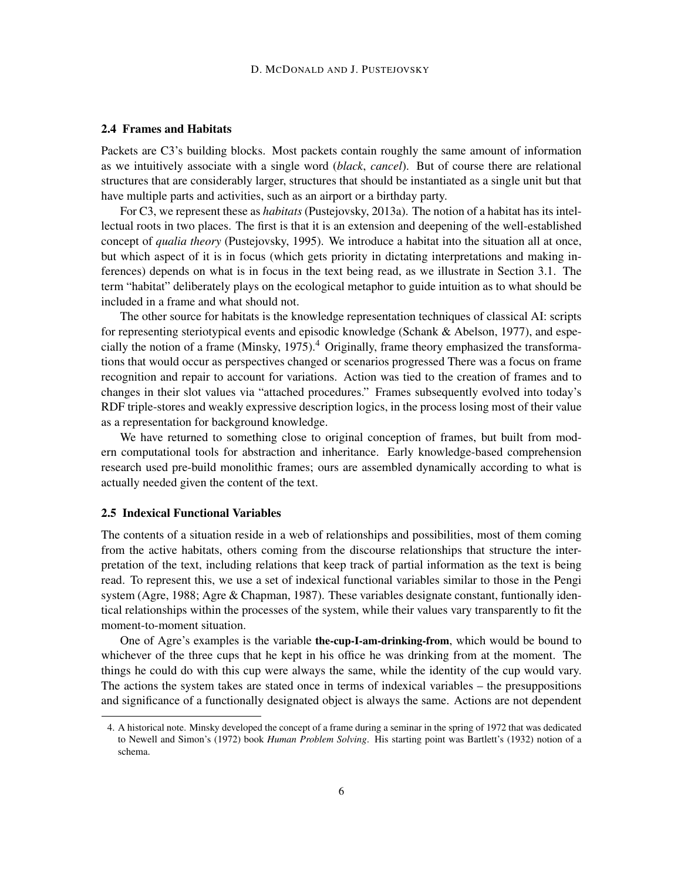#### 2.4 Frames and Habitats

Packets are C3's building blocks. Most packets contain roughly the same amount of information as we intuitively associate with a single word (*black*, *cancel*). But of course there are relational structures that are considerably larger, structures that should be instantiated as a single unit but that have multiple parts and activities, such as an airport or a birthday party.

For C3, we represent these as *habitats* (Pustejovsky, 2013a). The notion of a habitat has its intellectual roots in two places. The first is that it is an extension and deepening of the well-established concept of *qualia theory* (Pustejovsky, 1995). We introduce a habitat into the situation all at once, but which aspect of it is in focus (which gets priority in dictating interpretations and making inferences) depends on what is in focus in the text being read, as we illustrate in Section 3.1. The term "habitat" deliberately plays on the ecological metaphor to guide intuition as to what should be included in a frame and what should not.

The other source for habitats is the knowledge representation techniques of classical AI: scripts for representing steriotypical events and episodic knowledge (Schank & Abelson, 1977), and especially the notion of a frame (Minsky, 1975).<sup>4</sup> Originally, frame theory emphasized the transformations that would occur as perspectives changed or scenarios progressed There was a focus on frame recognition and repair to account for variations. Action was tied to the creation of frames and to changes in their slot values via "attached procedures." Frames subsequently evolved into today's RDF triple-stores and weakly expressive description logics, in the process losing most of their value as a representation for background knowledge.

We have returned to something close to original conception of frames, but built from modern computational tools for abstraction and inheritance. Early knowledge-based comprehension research used pre-build monolithic frames; ours are assembled dynamically according to what is actually needed given the content of the text.

#### 2.5 Indexical Functional Variables

The contents of a situation reside in a web of relationships and possibilities, most of them coming from the active habitats, others coming from the discourse relationships that structure the interpretation of the text, including relations that keep track of partial information as the text is being read. To represent this, we use a set of indexical functional variables similar to those in the Pengi system (Agre, 1988; Agre & Chapman, 1987). These variables designate constant, funtionally identical relationships within the processes of the system, while their values vary transparently to fit the moment-to-moment situation.

One of Agre's examples is the variable the-cup-I-am-drinking-from, which would be bound to whichever of the three cups that he kept in his office he was drinking from at the moment. The things he could do with this cup were always the same, while the identity of the cup would vary. The actions the system takes are stated once in terms of indexical variables – the presuppositions and significance of a functionally designated object is always the same. Actions are not dependent

<sup>4.</sup> A historical note. Minsky developed the concept of a frame during a seminar in the spring of 1972 that was dedicated to Newell and Simon's (1972) book *Human Problem Solving*. His starting point was Bartlett's (1932) notion of a schema.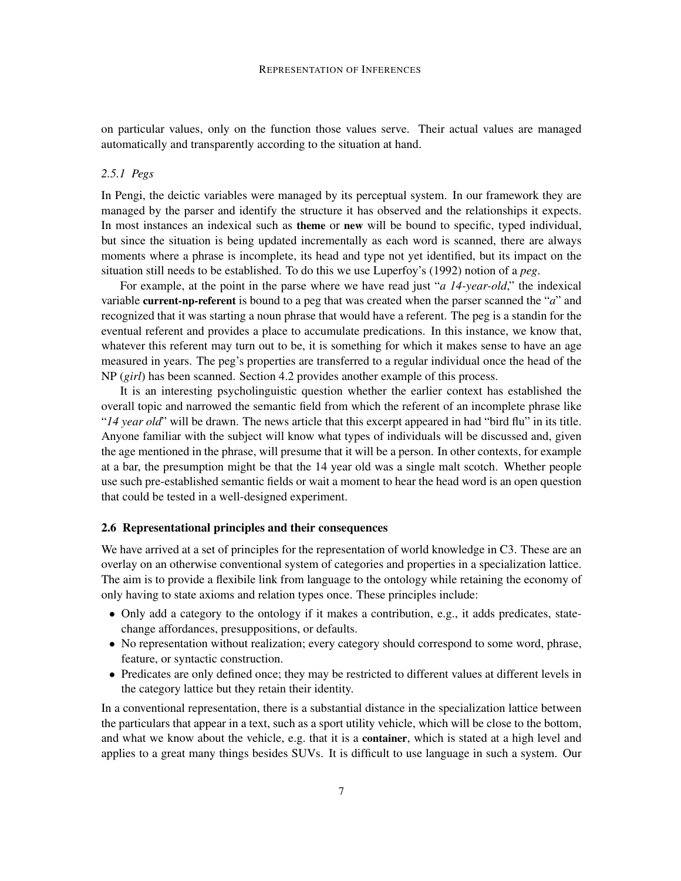on particular values, only on the function those values serve. Their actual values are managed automatically and transparently according to the situation at hand.

#### *2.5.1 Pegs*

In Pengi, the deictic variables were managed by its perceptual system. In our framework they are managed by the parser and identify the structure it has observed and the relationships it expects. In most instances an indexical such as theme or new will be bound to specific, typed individual, but since the situation is being updated incrementally as each word is scanned, there are always moments where a phrase is incomplete, its head and type not yet identified, but its impact on the situation still needs to be established. To do this we use Luperfoy's (1992) notion of a *peg*.

For example, at the point in the parse where we have read just "*a 14-year-old*," the indexical variable current-np-referent is bound to a peg that was created when the parser scanned the "*a*" and recognized that it was starting a noun phrase that would have a referent. The peg is a standin for the eventual referent and provides a place to accumulate predications. In this instance, we know that, whatever this referent may turn out to be, it is something for which it makes sense to have an age measured in years. The peg's properties are transferred to a regular individual once the head of the NP (*girl*) has been scanned. Section 4.2 provides another example of this process.

It is an interesting psycholinguistic question whether the earlier context has established the overall topic and narrowed the semantic field from which the referent of an incomplete phrase like "*14 year old*" will be drawn. The news article that this excerpt appeared in had "bird flu" in its title. Anyone familiar with the subject will know what types of individuals will be discussed and, given the age mentioned in the phrase, will presume that it will be a person. In other contexts, for example at a bar, the presumption might be that the 14 year old was a single malt scotch. Whether people use such pre-established semantic fields or wait a moment to hear the head word is an open question that could be tested in a well-designed experiment.

#### 2.6 Representational principles and their consequences

We have arrived at a set of principles for the representation of world knowledge in C3. These are an overlay on an otherwise conventional system of categories and properties in a specialization lattice. The aim is to provide a flexibile link from language to the ontology while retaining the economy of only having to state axioms and relation types once. These principles include:

- Only add a category to the ontology if it makes a contribution, e.g., it adds predicates, statechange affordances, presuppositions, or defaults.
- No representation without realization; every category should correspond to some word, phrase, feature, or syntactic construction.
- Predicates are only defined once; they may be restricted to different values at different levels in the category lattice but they retain their identity.

In a conventional representation, there is a substantial distance in the specialization lattice between the particulars that appear in a text, such as a sport utility vehicle, which will be close to the bottom, and what we know about the vehicle, e.g. that it is a container, which is stated at a high level and applies to a great many things besides SUVs. It is difficult to use language in such a system. Our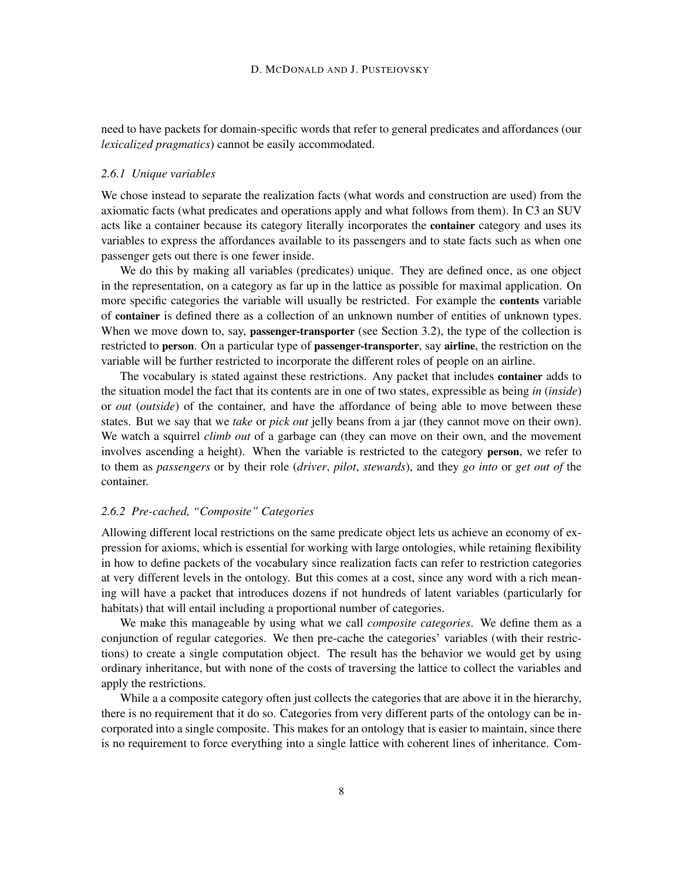need to have packets for domain-specific words that refer to general predicates and affordances (our *lexicalized pragmatics*) cannot be easily accommodated.

#### *2.6.1 Unique variables*

We chose instead to separate the realization facts (what words and construction are used) from the axiomatic facts (what predicates and operations apply and what follows from them). In C3 an SUV acts like a container because its category literally incorporates the container category and uses its variables to express the affordances available to its passengers and to state facts such as when one passenger gets out there is one fewer inside.

We do this by making all variables (predicates) unique. They are defined once, as one object in the representation, on a category as far up in the lattice as possible for maximal application. On more specific categories the variable will usually be restricted. For example the contents variable of container is defined there as a collection of an unknown number of entities of unknown types. When we move down to, say, **passenger-transporter** (see Section 3.2), the type of the collection is restricted to person. On a particular type of passenger-transporter, say airline, the restriction on the variable will be further restricted to incorporate the different roles of people on an airline.

The vocabulary is stated against these restrictions. Any packet that includes container adds to the situation model the fact that its contents are in one of two states, expressible as being *in* (*inside*) or *out* (*outside*) of the container, and have the affordance of being able to move between these states. But we say that we *take* or *pick out* jelly beans from a jar (they cannot move on their own). We watch a squirrel *climb out* of a garbage can (they can move on their own, and the movement involves ascending a height). When the variable is restricted to the category person, we refer to to them as *passengers* or by their role (*driver*, *pilot*, *stewards*), and they *go into* or *get out of* the container.

### *2.6.2 Pre-cached, "Composite" Categories*

Allowing different local restrictions on the same predicate object lets us achieve an economy of expression for axioms, which is essential for working with large ontologies, while retaining flexibility in how to define packets of the vocabulary since realization facts can refer to restriction categories at very different levels in the ontology. But this comes at a cost, since any word with a rich meaning will have a packet that introduces dozens if not hundreds of latent variables (particularly for habitats) that will entail including a proportional number of categories.

We make this manageable by using what we call *composite categories*. We define them as a conjunction of regular categories. We then pre-cache the categories' variables (with their restrictions) to create a single computation object. The result has the behavior we would get by using ordinary inheritance, but with none of the costs of traversing the lattice to collect the variables and apply the restrictions.

While a a composite category often just collects the categories that are above it in the hierarchy, there is no requirement that it do so. Categories from very different parts of the ontology can be incorporated into a single composite. This makes for an ontology that is easier to maintain, since there is no requirement to force everything into a single lattice with coherent lines of inheritance. Com-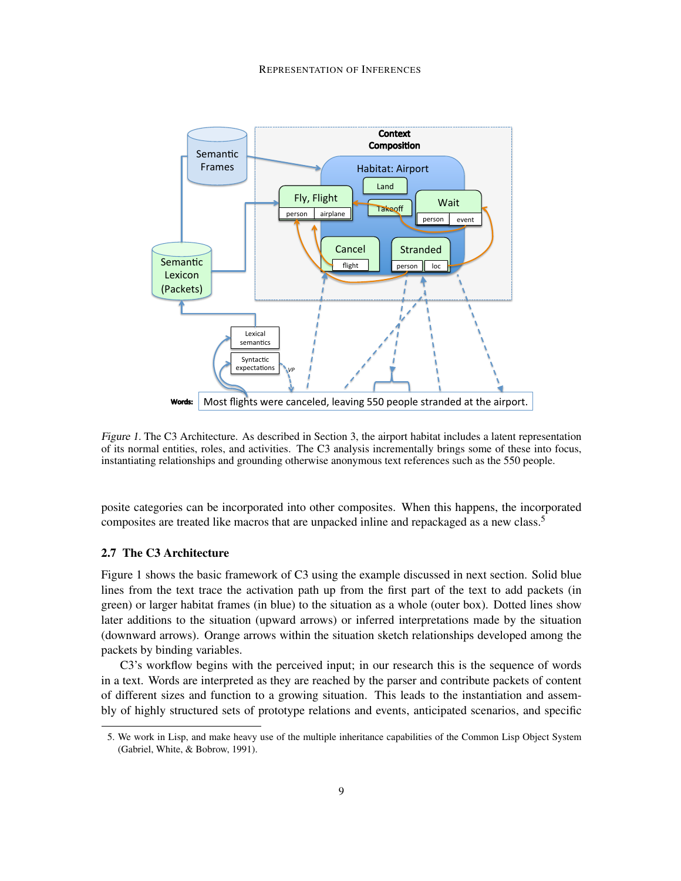

Figure 1. The C3 Architecture. As described in Section 3, the airport habitat includes a latent representation of its normal entities, roles, and activities. The C3 analysis incrementally brings some of these into focus, instantiating relationships and grounding otherwise anonymous text references such as the 550 people.

posite categories can be incorporated into other composites. When this happens, the incorporated composites are treated like macros that are unpacked inline and repackaged as a new class.<sup>5</sup>

## 2.7 The C3 Architecture

Figure 1 shows the basic framework of C3 using the example discussed in next section. Solid blue lines from the text trace the activation path up from the first part of the text to add packets (in green) or larger habitat frames (in blue) to the situation as a whole (outer box). Dotted lines show later additions to the situation (upward arrows) or inferred interpretations made by the situation (downward arrows). Orange arrows within the situation sketch relationships developed among the packets by binding variables.

C3's workflow begins with the perceived input; in our research this is the sequence of words in a text. Words are interpreted as they are reached by the parser and contribute packets of content of different sizes and function to a growing situation. This leads to the instantiation and assembly of highly structured sets of prototype relations and events, anticipated scenarios, and specific

<sup>5.</sup> We work in Lisp, and make heavy use of the multiple inheritance capabilities of the Common Lisp Object System (Gabriel, White, & Bobrow, 1991).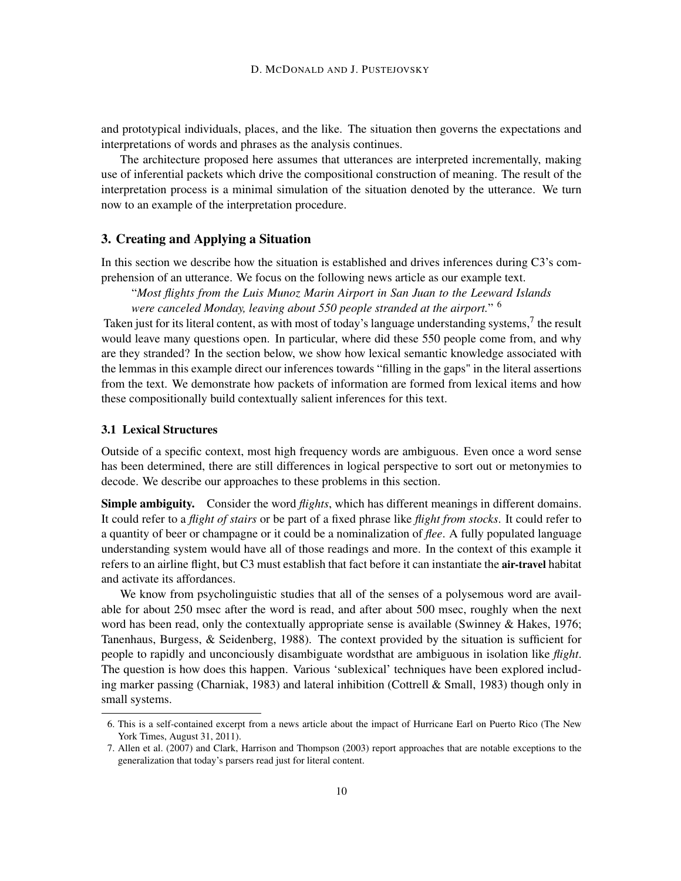and prototypical individuals, places, and the like. The situation then governs the expectations and interpretations of words and phrases as the analysis continues.

The architecture proposed here assumes that utterances are interpreted incrementally, making use of inferential packets which drive the compositional construction of meaning. The result of the interpretation process is a minimal simulation of the situation denoted by the utterance. We turn now to an example of the interpretation procedure.

## 3. Creating and Applying a Situation

In this section we describe how the situation is established and drives inferences during C3's comprehension of an utterance. We focus on the following news article as our example text.

"*Most flights from the Luis Munoz Marin Airport in San Juan to the Leeward Islands were canceled Monday, leaving about 550 people stranded at the airport.*" 6

Taken just for its literal content, as with most of today's language understanding systems, $^7$  the result would leave many questions open. In particular, where did these 550 people come from, and why are they stranded? In the section below, we show how lexical semantic knowledge associated with the lemmas in this example direct our inferences towards "filling in the gaps" in the literal assertions from the text. We demonstrate how packets of information are formed from lexical items and how these compositionally build contextually salient inferences for this text.

#### 3.1 Lexical Structures

Outside of a specific context, most high frequency words are ambiguous. Even once a word sense has been determined, there are still differences in logical perspective to sort out or metonymies to decode. We describe our approaches to these problems in this section.

Simple ambiguity. Consider the word *flights*, which has different meanings in different domains. It could refer to a *flight of stairs* or be part of a fixed phrase like *flight from stocks*. It could refer to a quantity of beer or champagne or it could be a nominalization of *flee*. A fully populated language understanding system would have all of those readings and more. In the context of this example it refers to an airline flight, but C3 must establish that fact before it can instantiate the air-travel habitat and activate its affordances.

We know from psycholinguistic studies that all of the senses of a polysemous word are available for about 250 msec after the word is read, and after about 500 msec, roughly when the next word has been read, only the contextually appropriate sense is available (Swinney & Hakes, 1976; Tanenhaus, Burgess, & Seidenberg, 1988). The context provided by the situation is sufficient for people to rapidly and unconciously disambiguate wordsthat are ambiguous in isolation like *flight*. The question is how does this happen. Various 'sublexical' techniques have been explored including marker passing (Charniak, 1983) and lateral inhibition (Cottrell & Small, 1983) though only in small systems.

<sup>6.</sup> This is a self-contained excerpt from a news article about the impact of Hurricane Earl on Puerto Rico (The New York Times, August 31, 2011).

<sup>7.</sup> Allen et al. (2007) and Clark, Harrison and Thompson (2003) report approaches that are notable exceptions to the generalization that today's parsers read just for literal content.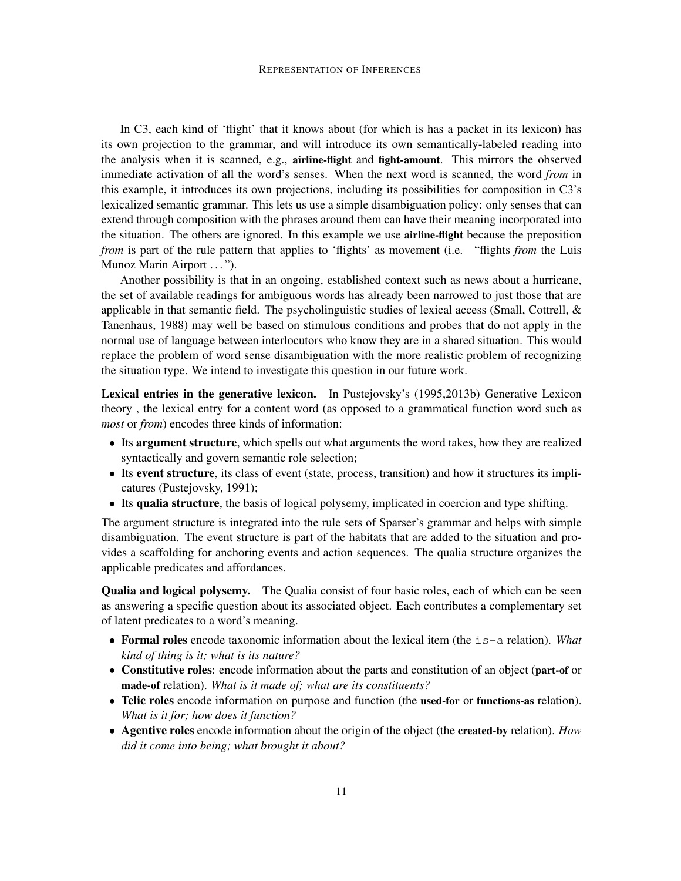In C3, each kind of 'flight' that it knows about (for which is has a packet in its lexicon) has its own projection to the grammar, and will introduce its own semantically-labeled reading into the analysis when it is scanned, e.g., airline-flight and fight-amount. This mirrors the observed immediate activation of all the word's senses. When the next word is scanned, the word *from* in this example, it introduces its own projections, including its possibilities for composition in C3's lexicalized semantic grammar. This lets us use a simple disambiguation policy: only senses that can extend through composition with the phrases around them can have their meaning incorporated into the situation. The others are ignored. In this example we use airline-flight because the preposition *from* is part of the rule pattern that applies to 'flights' as movement (i.e. "flights *from* the Luis Munoz Marin Airport . . . ").

Another possibility is that in an ongoing, established context such as news about a hurricane, the set of available readings for ambiguous words has already been narrowed to just those that are applicable in that semantic field. The psycholinguistic studies of lexical access (Small, Cottrell,  $\&$ Tanenhaus, 1988) may well be based on stimulous conditions and probes that do not apply in the normal use of language between interlocutors who know they are in a shared situation. This would replace the problem of word sense disambiguation with the more realistic problem of recognizing the situation type. We intend to investigate this question in our future work.

Lexical entries in the generative lexicon. In Pustejovsky's (1995,2013b) Generative Lexicon theory , the lexical entry for a content word (as opposed to a grammatical function word such as *most* or *from*) encodes three kinds of information:

- Its argument structure, which spells out what arguments the word takes, how they are realized syntactically and govern semantic role selection;
- Its event structure, its class of event (state, process, transition) and how it structures its implicatures (Pustejovsky, 1991);
- Its qualia structure, the basis of logical polysemy, implicated in coercion and type shifting.

The argument structure is integrated into the rule sets of Sparser's grammar and helps with simple disambiguation. The event structure is part of the habitats that are added to the situation and provides a scaffolding for anchoring events and action sequences. The qualia structure organizes the applicable predicates and affordances.

Qualia and logical polysemy. The Qualia consist of four basic roles, each of which can be seen as answering a specific question about its associated object. Each contributes a complementary set of latent predicates to a word's meaning.

- Formal roles encode taxonomic information about the lexical item (the is-a relation). *What kind of thing is it; what is its nature?*
- Constitutive roles: encode information about the parts and constitution of an object (part-of or made-of relation). *What is it made of; what are its constituents?*
- Telic roles encode information on purpose and function (the used-for or functions-as relation). *What is it for; how does it function?*
- Agentive roles encode information about the origin of the object (the created-by relation). *How did it come into being; what brought it about?*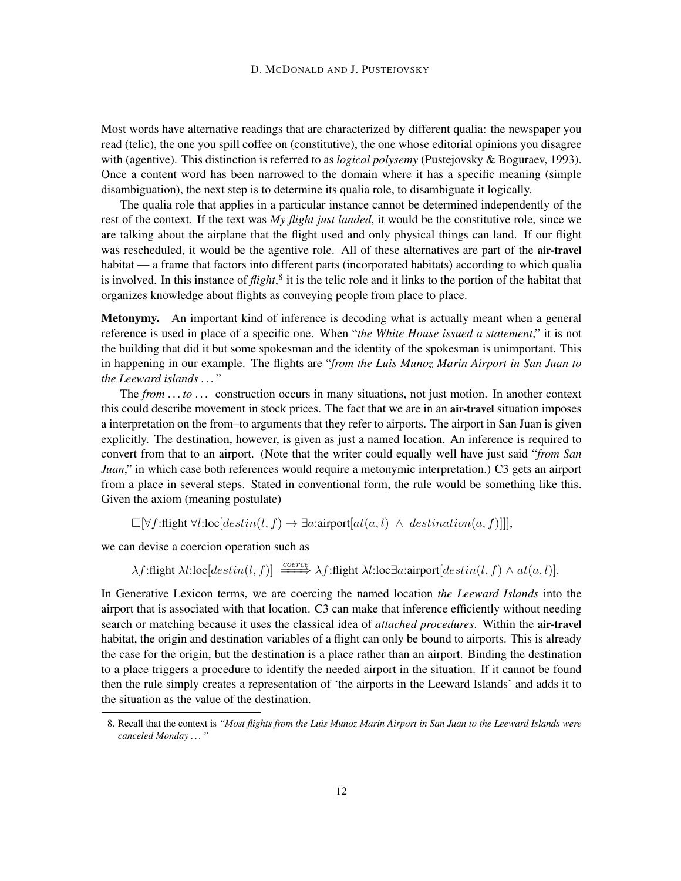Most words have alternative readings that are characterized by different qualia: the newspaper you read (telic), the one you spill coffee on (constitutive), the one whose editorial opinions you disagree with (agentive). This distinction is referred to as *logical polysemy* (Pustejovsky & Boguraev, 1993). Once a content word has been narrowed to the domain where it has a specific meaning (simple disambiguation), the next step is to determine its qualia role, to disambiguate it logically.

The qualia role that applies in a particular instance cannot be determined independently of the rest of the context. If the text was *My flight just landed*, it would be the constitutive role, since we are talking about the airplane that the flight used and only physical things can land. If our flight was rescheduled, it would be the agentive role. All of these alternatives are part of the **air-travel** habitat — a frame that factors into different parts (incorporated habitats) according to which qualia is involved. In this instance of *flight*,<sup>8</sup> it is the telic role and it links to the portion of the habitat that organizes knowledge about flights as conveying people from place to place.

Metonymy. An important kind of inference is decoding what is actually meant when a general reference is used in place of a specific one. When "*the White House issued a statement*," it is not the building that did it but some spokesman and the identity of the spokesman is unimportant. This in happening in our example. The flights are "*from the Luis Munoz Marin Airport in San Juan to the Leeward islands . . .* "

The *from* ... to ... construction occurs in many situations, not just motion. In another context this could describe movement in stock prices. The fact that we are in an air-travel situation imposes a interpretation on the from–to arguments that they refer to airports. The airport in San Juan is given explicitly. The destination, however, is given as just a named location. An inference is required to convert from that to an airport. (Note that the writer could equally well have just said "*from San Juan*," in which case both references would require a metonymic interpretation.) C3 gets an airport from a place in several steps. Stated in conventional form, the rule would be something like this. Given the axiom (meaning postulate)

 $\Box[\forall f:\text{flight }\forall l:\text{loc}[destin(l, f) \rightarrow \exists a:\text{ airport}[at(a, l) \land destination(a, f)]$ ]],

we can devise a coercion operation such as

 $\lambda f:$ flight  $\lambda l:$ loc $[destin(l, f)] \xrightarrow{coerce} \lambda f:$ flight  $\lambda l:$ loc∃a:airport $[destin(l, f) \wedge at(a, l)]$ .

In Generative Lexicon terms, we are coercing the named location *the Leeward Islands* into the airport that is associated with that location. C3 can make that inference efficiently without needing search or matching because it uses the classical idea of *attached procedures*. Within the air-travel habitat, the origin and destination variables of a flight can only be bound to airports. This is already the case for the origin, but the destination is a place rather than an airport. Binding the destination to a place triggers a procedure to identify the needed airport in the situation. If it cannot be found then the rule simply creates a representation of 'the airports in the Leeward Islands' and adds it to the situation as the value of the destination.

<sup>8.</sup> Recall that the context is *"Most flights from the Luis Munoz Marin Airport in San Juan to the Leeward Islands were canceled Monday . . . "*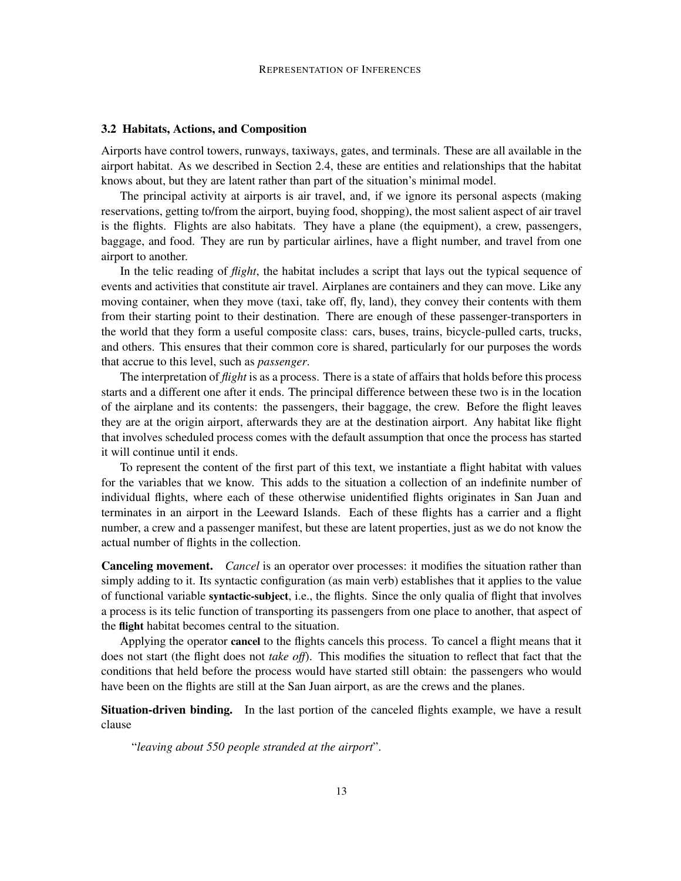#### 3.2 Habitats, Actions, and Composition

Airports have control towers, runways, taxiways, gates, and terminals. These are all available in the airport habitat. As we described in Section 2.4, these are entities and relationships that the habitat knows about, but they are latent rather than part of the situation's minimal model.

The principal activity at airports is air travel, and, if we ignore its personal aspects (making reservations, getting to/from the airport, buying food, shopping), the most salient aspect of air travel is the flights. Flights are also habitats. They have a plane (the equipment), a crew, passengers, baggage, and food. They are run by particular airlines, have a flight number, and travel from one airport to another.

In the telic reading of *flight*, the habitat includes a script that lays out the typical sequence of events and activities that constitute air travel. Airplanes are containers and they can move. Like any moving container, when they move (taxi, take off, fly, land), they convey their contents with them from their starting point to their destination. There are enough of these passenger-transporters in the world that they form a useful composite class: cars, buses, trains, bicycle-pulled carts, trucks, and others. This ensures that their common core is shared, particularly for our purposes the words that accrue to this level, such as *passenger*.

The interpretation of *flight* is as a process. There is a state of affairs that holds before this process starts and a different one after it ends. The principal difference between these two is in the location of the airplane and its contents: the passengers, their baggage, the crew. Before the flight leaves they are at the origin airport, afterwards they are at the destination airport. Any habitat like flight that involves scheduled process comes with the default assumption that once the process has started it will continue until it ends.

To represent the content of the first part of this text, we instantiate a flight habitat with values for the variables that we know. This adds to the situation a collection of an indefinite number of individual flights, where each of these otherwise unidentified flights originates in San Juan and terminates in an airport in the Leeward Islands. Each of these flights has a carrier and a flight number, a crew and a passenger manifest, but these are latent properties, just as we do not know the actual number of flights in the collection.

Canceling movement. *Cancel* is an operator over processes: it modifies the situation rather than simply adding to it. Its syntactic configuration (as main verb) establishes that it applies to the value of functional variable syntactic-subject, i.e., the flights. Since the only qualia of flight that involves a process is its telic function of transporting its passengers from one place to another, that aspect of the flight habitat becomes central to the situation.

Applying the operator cancel to the flights cancels this process. To cancel a flight means that it does not start (the flight does not *take off*). This modifies the situation to reflect that fact that the conditions that held before the process would have started still obtain: the passengers who would have been on the flights are still at the San Juan airport, as are the crews and the planes.

Situation-driven binding. In the last portion of the canceled flights example, we have a result clause

"*leaving about 550 people stranded at the airport*".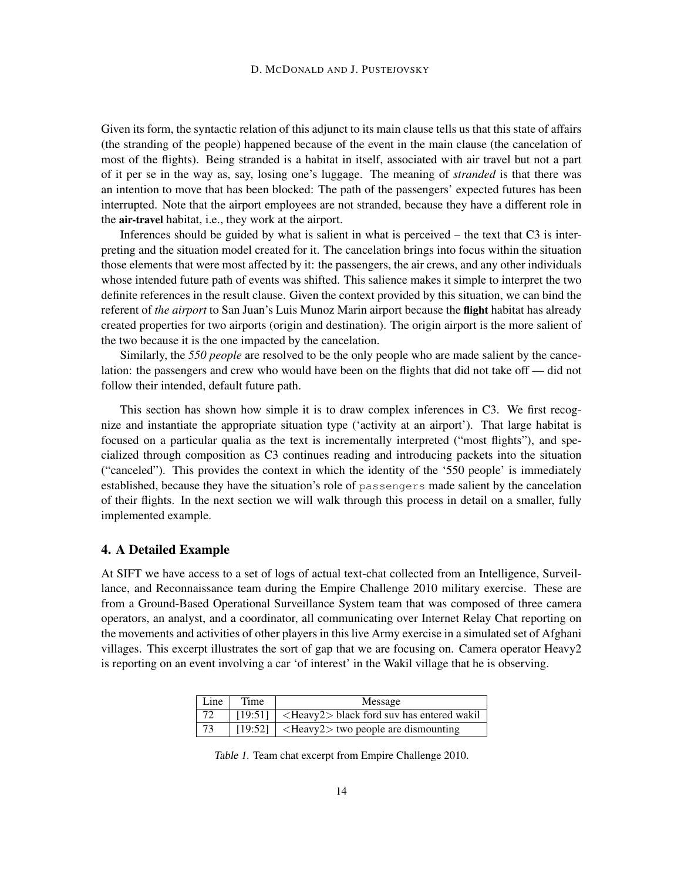Given its form, the syntactic relation of this adjunct to its main clause tells us that this state of affairs (the stranding of the people) happened because of the event in the main clause (the cancelation of most of the flights). Being stranded is a habitat in itself, associated with air travel but not a part of it per se in the way as, say, losing one's luggage. The meaning of *stranded* is that there was an intention to move that has been blocked: The path of the passengers' expected futures has been interrupted. Note that the airport employees are not stranded, because they have a different role in the air-travel habitat, i.e., they work at the airport.

Inferences should be guided by what is salient in what is perceived – the text that C3 is interpreting and the situation model created for it. The cancelation brings into focus within the situation those elements that were most affected by it: the passengers, the air crews, and any other individuals whose intended future path of events was shifted. This salience makes it simple to interpret the two definite references in the result clause. Given the context provided by this situation, we can bind the referent of *the airport* to San Juan's Luis Munoz Marin airport because the flight habitat has already created properties for two airports (origin and destination). The origin airport is the more salient of the two because it is the one impacted by the cancelation.

Similarly, the *550 people* are resolved to be the only people who are made salient by the cancelation: the passengers and crew who would have been on the flights that did not take off — did not follow their intended, default future path.

This section has shown how simple it is to draw complex inferences in C3. We first recognize and instantiate the appropriate situation type ('activity at an airport'). That large habitat is focused on a particular qualia as the text is incrementally interpreted ("most flights"), and specialized through composition as C3 continues reading and introducing packets into the situation ("canceled"). This provides the context in which the identity of the '550 people' is immediately established, because they have the situation's role of passengers made salient by the cancelation of their flights. In the next section we will walk through this process in detail on a smaller, fully implemented example.

## 4. A Detailed Example

At SIFT we have access to a set of logs of actual text-chat collected from an Intelligence, Surveillance, and Reconnaissance team during the Empire Challenge 2010 military exercise. These are from a Ground-Based Operational Surveillance System team that was composed of three camera operators, an analyst, and a coordinator, all communicating over Internet Relay Chat reporting on the movements and activities of other players in this live Army exercise in a simulated set of Afghani villages. This excerpt illustrates the sort of gap that we are focusing on. Camera operator Heavy2 is reporting on an event involving a car 'of interest' in the Wakil village that he is observing.

| Line | Time | Message                                                            |
|------|------|--------------------------------------------------------------------|
|      |      | [19:51] $\vert$ <heavy2> black ford suv has entered wakil</heavy2> |
|      |      | $\mid$ [19:52] $\mid$ <heavy2> two people are dismounting</heavy2> |

Table 1. Team chat excerpt from Empire Challenge 2010.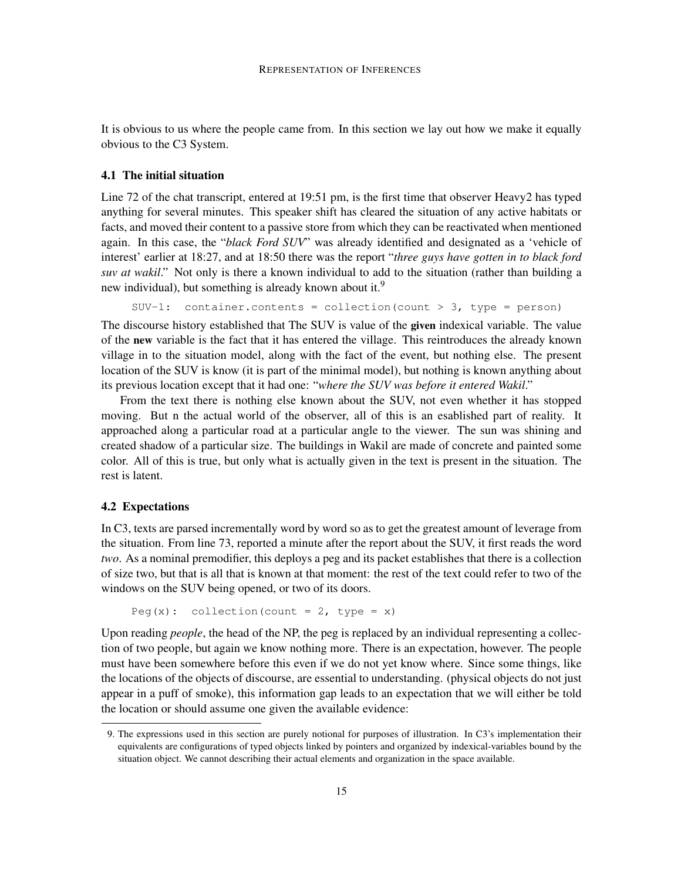It is obvious to us where the people came from. In this section we lay out how we make it equally obvious to the C3 System.

#### 4.1 The initial situation

Line 72 of the chat transcript, entered at 19:51 pm, is the first time that observer Heavy2 has typed anything for several minutes. This speaker shift has cleared the situation of any active habitats or facts, and moved their content to a passive store from which they can be reactivated when mentioned again. In this case, the "*black Ford SUV*" was already identified and designated as a 'vehicle of interest' earlier at 18:27, and at 18:50 there was the report "*three guys have gotten in to black ford suv at wakil*." Not only is there a known individual to add to the situation (rather than building a new individual), but something is already known about it.<sup>9</sup>

```
SUV-1: container.contents = collection(count > 3, type = person)
```
The discourse history established that The SUV is value of the given indexical variable. The value of the new variable is the fact that it has entered the village. This reintroduces the already known village in to the situation model, along with the fact of the event, but nothing else. The present location of the SUV is know (it is part of the minimal model), but nothing is known anything about its previous location except that it had one: "*where the SUV was before it entered Wakil*."

From the text there is nothing else known about the SUV, not even whether it has stopped moving. But n the actual world of the observer, all of this is an esablished part of reality. It approached along a particular road at a particular angle to the viewer. The sun was shining and created shadow of a particular size. The buildings in Wakil are made of concrete and painted some color. All of this is true, but only what is actually given in the text is present in the situation. The rest is latent.

#### 4.2 Expectations

In C3, texts are parsed incrementally word by word so as to get the greatest amount of leverage from the situation. From line 73, reported a minute after the report about the SUV, it first reads the word *two*. As a nominal premodifier, this deploys a peg and its packet establishes that there is a collection of size two, but that is all that is known at that moment: the rest of the text could refer to two of the windows on the SUV being opened, or two of its doors.

```
Peg(x): collection(count = 2, type = x)
```
Upon reading *people*, the head of the NP, the peg is replaced by an individual representing a collection of two people, but again we know nothing more. There is an expectation, however. The people must have been somewhere before this even if we do not yet know where. Since some things, like the locations of the objects of discourse, are essential to understanding. (physical objects do not just appear in a puff of smoke), this information gap leads to an expectation that we will either be told the location or should assume one given the available evidence:

<sup>9.</sup> The expressions used in this section are purely notional for purposes of illustration. In C3's implementation their equivalents are configurations of typed objects linked by pointers and organized by indexical-variables bound by the situation object. We cannot describing their actual elements and organization in the space available.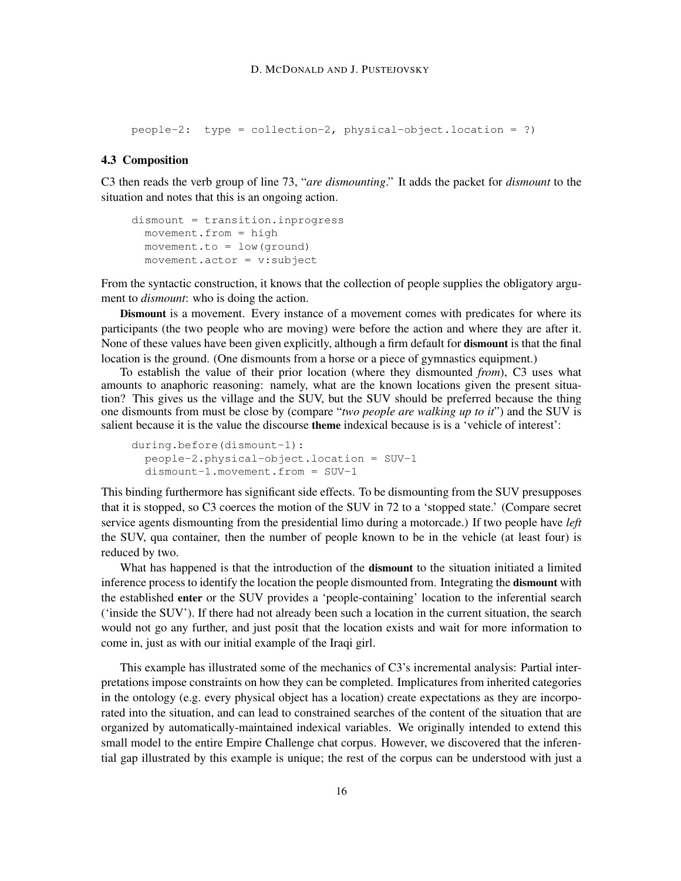```
people-2: type = collection-2, physical-object.location = ?)
```
#### 4.3 Composition

C3 then reads the verb group of line 73, "*are dismounting*." It adds the packet for *dismount* to the situation and notes that this is an ongoing action.

```
dismount = transition.inprogress
 movement.from = high
movement.to = low(ground)
movement.actor = v:subject
```
From the syntactic construction, it knows that the collection of people supplies the obligatory argument to *dismount*: who is doing the action.

Dismount is a movement. Every instance of a movement comes with predicates for where its participants (the two people who are moving) were before the action and where they are after it. None of these values have been given explicitly, although a firm default for dismount is that the final location is the ground. (One dismounts from a horse or a piece of gymnastics equipment.)

To establish the value of their prior location (where they dismounted *from*), C3 uses what amounts to anaphoric reasoning: namely, what are the known locations given the present situation? This gives us the village and the SUV, but the SUV should be preferred because the thing one dismounts from must be close by (compare "*two people are walking up to it*") and the SUV is salient because it is the value the discourse theme indexical because is is a 'vehicle of interest':

```
during.before(dismount-1):
people-2.physical-object.location = SUV-1
dismount-1.movement.from = SUV-1
```
This binding furthermore has significant side effects. To be dismounting from the SUV presupposes that it is stopped, so C3 coerces the motion of the SUV in 72 to a 'stopped state.' (Compare secret service agents dismounting from the presidential limo during a motorcade.) If two people have *left* the SUV, qua container, then the number of people known to be in the vehicle (at least four) is reduced by two.

What has happened is that the introduction of the dismount to the situation initiated a limited inference process to identify the location the people dismounted from. Integrating the dismount with the established enter or the SUV provides a 'people-containing' location to the inferential search ('inside the SUV'). If there had not already been such a location in the current situation, the search would not go any further, and just posit that the location exists and wait for more information to come in, just as with our initial example of the Iraqi girl.

This example has illustrated some of the mechanics of C3's incremental analysis: Partial interpretations impose constraints on how they can be completed. Implicatures from inherited categories in the ontology (e.g. every physical object has a location) create expectations as they are incorporated into the situation, and can lead to constrained searches of the content of the situation that are organized by automatically-maintained indexical variables. We originally intended to extend this small model to the entire Empire Challenge chat corpus. However, we discovered that the inferential gap illustrated by this example is unique; the rest of the corpus can be understood with just a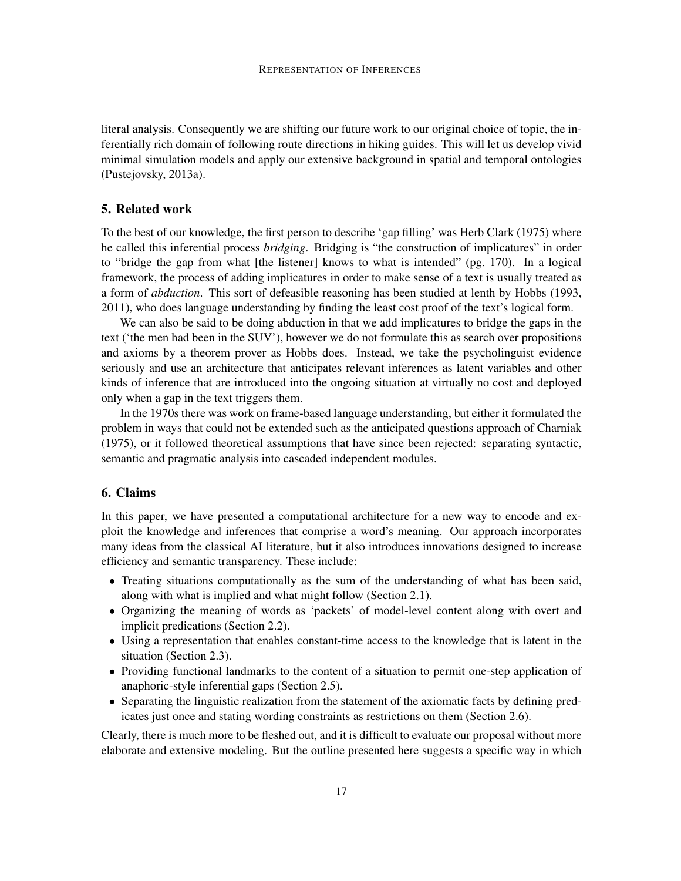literal analysis. Consequently we are shifting our future work to our original choice of topic, the inferentially rich domain of following route directions in hiking guides. This will let us develop vivid minimal simulation models and apply our extensive background in spatial and temporal ontologies (Pustejovsky, 2013a).

## 5. Related work

To the best of our knowledge, the first person to describe 'gap filling' was Herb Clark (1975) where he called this inferential process *bridging*. Bridging is "the construction of implicatures" in order to "bridge the gap from what [the listener] knows to what is intended" (pg. 170). In a logical framework, the process of adding implicatures in order to make sense of a text is usually treated as a form of *abduction*. This sort of defeasible reasoning has been studied at lenth by Hobbs (1993, 2011), who does language understanding by finding the least cost proof of the text's logical form.

We can also be said to be doing abduction in that we add implicatures to bridge the gaps in the text ('the men had been in the SUV'), however we do not formulate this as search over propositions and axioms by a theorem prover as Hobbs does. Instead, we take the psycholinguist evidence seriously and use an architecture that anticipates relevant inferences as latent variables and other kinds of inference that are introduced into the ongoing situation at virtually no cost and deployed only when a gap in the text triggers them.

In the 1970s there was work on frame-based language understanding, but either it formulated the problem in ways that could not be extended such as the anticipated questions approach of Charniak (1975), or it followed theoretical assumptions that have since been rejected: separating syntactic, semantic and pragmatic analysis into cascaded independent modules.

#### 6. Claims

In this paper, we have presented a computational architecture for a new way to encode and exploit the knowledge and inferences that comprise a word's meaning. Our approach incorporates many ideas from the classical AI literature, but it also introduces innovations designed to increase efficiency and semantic transparency. These include:

- Treating situations computationally as the sum of the understanding of what has been said, along with what is implied and what might follow (Section 2.1).
- Organizing the meaning of words as 'packets' of model-level content along with overt and implicit predications (Section 2.2).
- Using a representation that enables constant-time access to the knowledge that is latent in the situation (Section 2.3).
- Providing functional landmarks to the content of a situation to permit one-step application of anaphoric-style inferential gaps (Section 2.5).
- Separating the linguistic realization from the statement of the axiomatic facts by defining predicates just once and stating wording constraints as restrictions on them (Section 2.6).

Clearly, there is much more to be fleshed out, and it is difficult to evaluate our proposal without more elaborate and extensive modeling. But the outline presented here suggests a specific way in which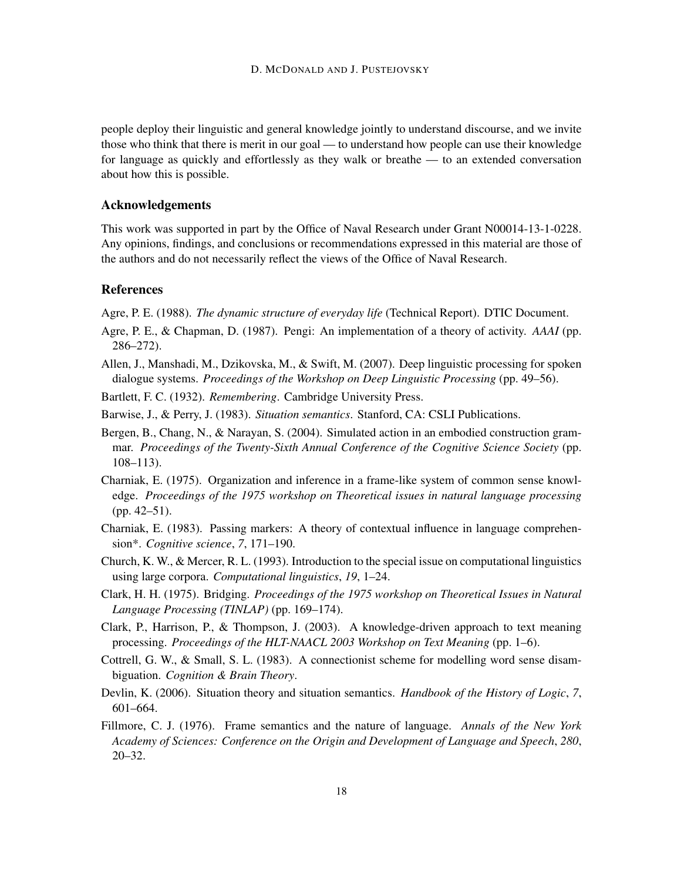people deploy their linguistic and general knowledge jointly to understand discourse, and we invite those who think that there is merit in our goal — to understand how people can use their knowledge for language as quickly and effortlessly as they walk or breathe — to an extended conversation about how this is possible.

#### Acknowledgements

This work was supported in part by the Office of Naval Research under Grant N00014-13-1-0228. Any opinions, findings, and conclusions or recommendations expressed in this material are those of the authors and do not necessarily reflect the views of the Office of Naval Research.

## References

Agre, P. E. (1988). *The dynamic structure of everyday life* (Technical Report). DTIC Document.

- Agre, P. E., & Chapman, D. (1987). Pengi: An implementation of a theory of activity. *AAAI* (pp. 286–272).
- Allen, J., Manshadi, M., Dzikovska, M., & Swift, M. (2007). Deep linguistic processing for spoken dialogue systems. *Proceedings of the Workshop on Deep Linguistic Processing* (pp. 49–56).
- Bartlett, F. C. (1932). *Remembering*. Cambridge University Press.
- Barwise, J., & Perry, J. (1983). *Situation semantics*. Stanford, CA: CSLI Publications.
- Bergen, B., Chang, N., & Narayan, S. (2004). Simulated action in an embodied construction grammar. *Proceedings of the Twenty-Sixth Annual Conference of the Cognitive Science Society* (pp. 108–113).
- Charniak, E. (1975). Organization and inference in a frame-like system of common sense knowledge. *Proceedings of the 1975 workshop on Theoretical issues in natural language processing* (pp. 42–51).
- Charniak, E. (1983). Passing markers: A theory of contextual influence in language comprehension\*. *Cognitive science*, *7*, 171–190.
- Church, K. W., & Mercer, R. L. (1993). Introduction to the special issue on computational linguistics using large corpora. *Computational linguistics*, *19*, 1–24.
- Clark, H. H. (1975). Bridging. *Proceedings of the 1975 workshop on Theoretical Issues in Natural Language Processing (TINLAP)* (pp. 169–174).
- Clark, P., Harrison, P., & Thompson, J. (2003). A knowledge-driven approach to text meaning processing. *Proceedings of the HLT-NAACL 2003 Workshop on Text Meaning* (pp. 1–6).
- Cottrell, G. W., & Small, S. L. (1983). A connectionist scheme for modelling word sense disambiguation. *Cognition & Brain Theory*.
- Devlin, K. (2006). Situation theory and situation semantics. *Handbook of the History of Logic*, *7*, 601–664.
- Fillmore, C. J. (1976). Frame semantics and the nature of language. *Annals of the New York Academy of Sciences: Conference on the Origin and Development of Language and Speech*, *280*, 20–32.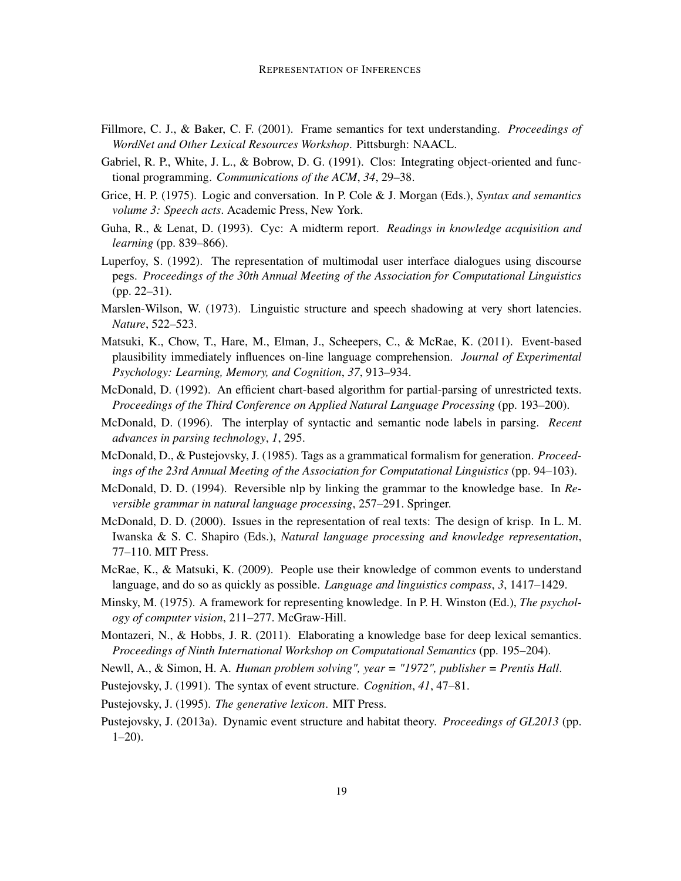- Fillmore, C. J., & Baker, C. F. (2001). Frame semantics for text understanding. *Proceedings of WordNet and Other Lexical Resources Workshop*. Pittsburgh: NAACL.
- Gabriel, R. P., White, J. L., & Bobrow, D. G. (1991). Clos: Integrating object-oriented and functional programming. *Communications of the ACM*, *34*, 29–38.
- Grice, H. P. (1975). Logic and conversation. In P. Cole & J. Morgan (Eds.), *Syntax and semantics volume 3: Speech acts*. Academic Press, New York.
- Guha, R., & Lenat, D. (1993). Cyc: A midterm report. *Readings in knowledge acquisition and learning* (pp. 839–866).
- Luperfoy, S. (1992). The representation of multimodal user interface dialogues using discourse pegs. *Proceedings of the 30th Annual Meeting of the Association for Computational Linguistics* (pp. 22–31).
- Marslen-Wilson, W. (1973). Linguistic structure and speech shadowing at very short latencies. *Nature*, 522–523.
- Matsuki, K., Chow, T., Hare, M., Elman, J., Scheepers, C., & McRae, K. (2011). Event-based plausibility immediately influences on-line language comprehension. *Journal of Experimental Psychology: Learning, Memory, and Cognition*, *37*, 913–934.
- McDonald, D. (1992). An efficient chart-based algorithm for partial-parsing of unrestricted texts. *Proceedings of the Third Conference on Applied Natural Language Processing* (pp. 193–200).
- McDonald, D. (1996). The interplay of syntactic and semantic node labels in parsing. *Recent advances in parsing technology*, *1*, 295.
- McDonald, D., & Pustejovsky, J. (1985). Tags as a grammatical formalism for generation. *Proceedings of the 23rd Annual Meeting of the Association for Computational Linguistics* (pp. 94–103).
- McDonald, D. D. (1994). Reversible nlp by linking the grammar to the knowledge base. In *Reversible grammar in natural language processing*, 257–291. Springer.
- McDonald, D. D. (2000). Issues in the representation of real texts: The design of krisp. In L. M. Iwanska & S. C. Shapiro (Eds.), *Natural language processing and knowledge representation*, 77–110. MIT Press.
- McRae, K., & Matsuki, K. (2009). People use their knowledge of common events to understand language, and do so as quickly as possible. *Language and linguistics compass*, *3*, 1417–1429.
- Minsky, M. (1975). A framework for representing knowledge. In P. H. Winston (Ed.), *The psychology of computer vision*, 211–277. McGraw-Hill.
- Montazeri, N., & Hobbs, J. R. (2011). Elaborating a knowledge base for deep lexical semantics. *Proceedings of Ninth International Workshop on Computational Semantics* (pp. 195–204).
- Newll, A., & Simon, H. A. *Human problem solving", year = "1972", publisher = Prentis Hall*.
- Pustejovsky, J. (1991). The syntax of event structure. *Cognition*, *41*, 47–81.

Pustejovsky, J. (1995). *The generative lexicon*. MIT Press.

Pustejovsky, J. (2013a). Dynamic event structure and habitat theory. *Proceedings of GL2013* (pp.  $1-20$ ).